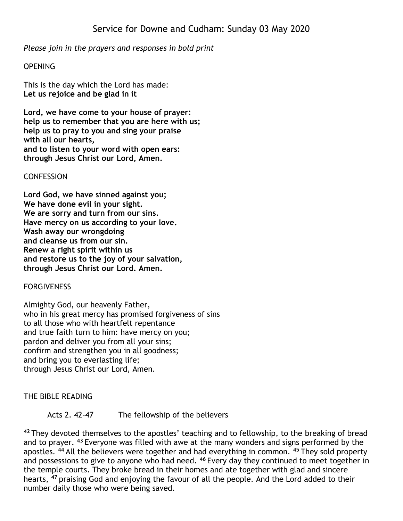*Please join in the prayers and responses in bold print*

# **OPENING**

This is the day which the Lord has made: **Let us rejoice and be glad in it**

**Lord, we have come to your house of prayer: help us to remember that you are here with us; help us to pray to you and sing your praise with all our hearts, and to listen to your word with open ears: through Jesus Christ our Lord, Amen.**

**CONFESSION** 

**Lord God, we have sinned against you; We have done evil in your sight. We are sorry and turn from our sins. Have mercy on us according to your love. Wash away our wrongdoing and cleanse us from our sin. Renew a right spirit within us and restore us to the joy of your salvation, through Jesus Christ our Lord. Amen.**

**FORGIVENESS** 

Almighty God, our heavenly Father, who in his great mercy has promised forgiveness of sins to all those who with heartfelt repentance and true faith turn to him: have mercy on you; pardon and deliver you from all your sins; confirm and strengthen you in all goodness; and bring you to everlasting life; through Jesus Christ our Lord, Amen.

THE BIBLE READING

# Acts 2. 42-47 The fellowship of the believers

**<sup>42</sup>** They devoted themselves to the apostles' teaching and to fellowship, to the breaking of bread and to prayer. **<sup>43</sup>** Everyone was filled with awe at the many wonders and signs performed by the apostles. **<sup>44</sup>** All the believers were together and had everything in common. **<sup>45</sup>** They sold property and possessions to give to anyone who had need. **<sup>46</sup>** Every day they continued to meet together in the temple courts. They broke bread in their homes and ate together with glad and sincere hearts, **<sup>47</sup>** praising God and enjoying the favour of all the people. And the Lord added to their number daily those who were being saved.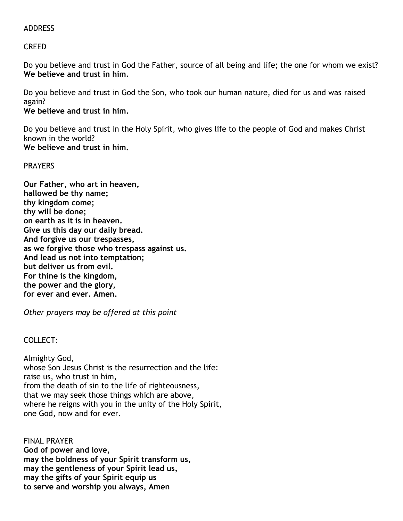# ADDRESS

CREED

Do you believe and trust in God the Father, source of all being and life; the one for whom we exist? **We believe and trust in him.**

Do you believe and trust in God the Son, who took our human nature, died for us and was raised again?

**We believe and trust in him.**

Do you believe and trust in the Holy Spirit, who gives life to the people of God and makes Christ known in the world? **We believe and trust in him.**

# PRAYERS

**Our Father, who art in heaven, hallowed be thy name; thy kingdom come; thy will be done; on earth as it is in heaven. Give us this day our daily bread. And forgive us our trespasses, as we forgive those who trespass against us. And lead us not into temptation; but deliver us from evil. For thine is the kingdom, the power and the glory, for ever and ever. Amen.**

*Other prayers may be offered at this point*

# COLLECT:

Almighty God, whose Son Jesus Christ is the resurrection and the life: raise us, who trust in him, from the death of sin to the life of righteousness, that we may seek those things which are above, where he reigns with you in the unity of the Holy Spirit, one God, now and for ever.

FINAL PRAYER **God of power and love, may the boldness of your Spirit transform us, may the gentleness of your Spirit lead us, may the gifts of your Spirit equip us to serve and worship you always, Amen**